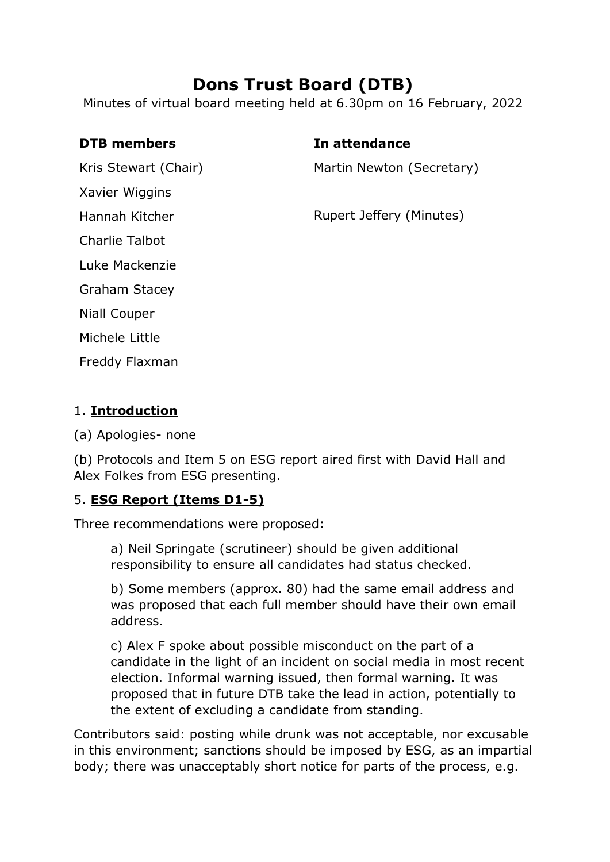# **Dons Trust Board (DTB)**

Minutes of virtual board meeting held at 6.30pm on 16 February, 2022

Kris Stewart (Chair)

Xavier Wiggins

Hannah Kitcher

Charlie Talbot

Luke Mackenzie

Graham Stacey

Niall Couper

Michele Little

Freddy Flaxman

# 1. **Introduction**

(a) Apologies- none

(b) Protocols and Item 5 on ESG report aired first with David Hall and Alex Folkes from ESG presenting.

# 5. **ESG Report (Items D1-5)**

Three recommendations were proposed:

a) Neil Springate (scrutineer) should be given additional responsibility to ensure all candidates had status checked.

b) Some members (approx. 80) had the same email address and was proposed that each full member should have their own email address.

c) Alex F spoke about possible misconduct on the part of a candidate in the light of an incident on social media in most recent election. Informal warning issued, then formal warning. It was proposed that in future DTB take the lead in action, potentially to the extent of excluding a candidate from standing.

Contributors said: posting while drunk was not acceptable, nor excusable in this environment; sanctions should be imposed by ESG, as an impartial body; there was unacceptably short notice for parts of the process, e.g.

### **DTB members In attendance**

Martin Newton (Secretary)

Rupert Jeffery (Minutes)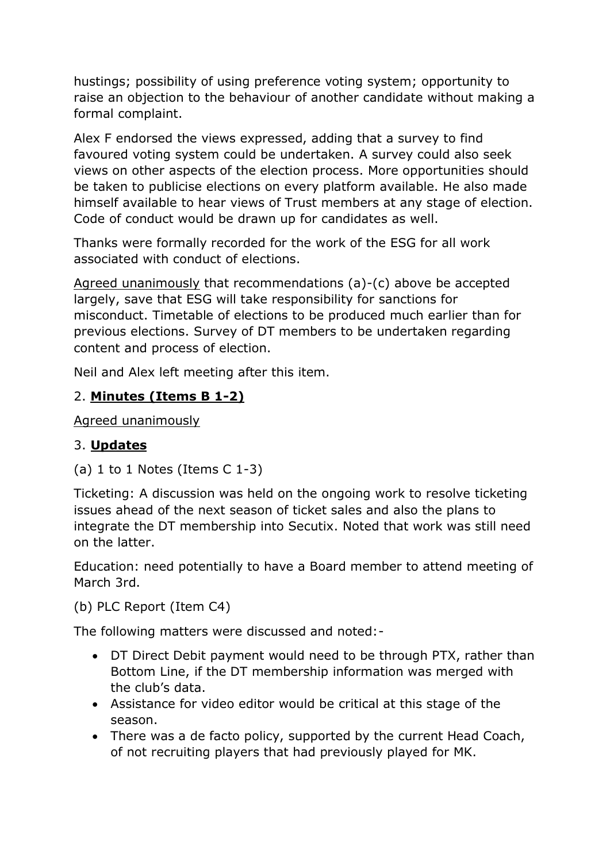hustings; possibility of using preference voting system; opportunity to raise an objection to the behaviour of another candidate without making a formal complaint.

Alex F endorsed the views expressed, adding that a survey to find favoured voting system could be undertaken. A survey could also seek views on other aspects of the election process. More opportunities should be taken to publicise elections on every platform available. He also made himself available to hear views of Trust members at any stage of election. Code of conduct would be drawn up for candidates as well.

Thanks were formally recorded for the work of the ESG for all work associated with conduct of elections.

Agreed unanimously that recommendations (a)-(c) above be accepted largely, save that ESG will take responsibility for sanctions for misconduct. Timetable of elections to be produced much earlier than for previous elections. Survey of DT members to be undertaken regarding content and process of election.

Neil and Alex left meeting after this item.

# 2. **Minutes (Items B 1-2)**

Agreed unanimously

# 3. **Updates**

(a)  $1$  to  $1$  Notes (Items  $C$   $1-3$ )

Ticketing: A discussion was held on the ongoing work to resolve ticketing issues ahead of the next season of ticket sales and also the plans to integrate the DT membership into Secutix. Noted that work was still need on the latter.

Education: need potentially to have a Board member to attend meeting of March 3rd.

```
(b) PLC Report (Item C4)
```
The following matters were discussed and noted:-

- DT Direct Debit payment would need to be through PTX, rather than Bottom Line, if the DT membership information was merged with the club's data.
- Assistance for video editor would be critical at this stage of the season.
- There was a de facto policy, supported by the current Head Coach, of not recruiting players that had previously played for MK.